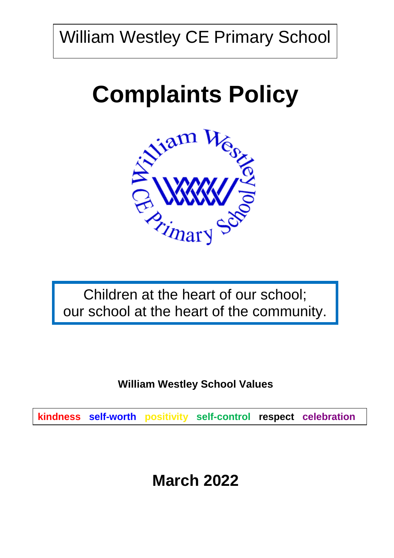William Westley CE Primary School

# **Complaints Policy**



Children at the heart of our school; our school at the heart of the community.

**William Westley School Values**

**kindness self-worth positivity self-control respect celebration**

## **March 2022**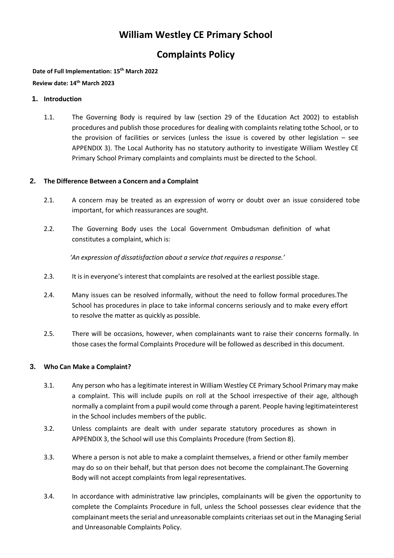## **William Westley CE Primary School**

### **Complaints Policy**

**Date of Full Implementation: 15th March 2022**

**Review date: 14th March 2023**

#### **1. Introduction**

1.1. The Governing Body is required by law (section 29 of the Education Act 2002) to establish procedures and publish those procedures for dealing with complaints relating tothe School, or to the provision of facilities or services (unless the issue is covered by other legislation – see APPENDIX 3). The Local Authority has no statutory authority to investigate William Westley CE Primary School Primary complaints and complaints must be directed to the School.

#### **2. The Difference Between a Concern and a Complaint**

- 2.1. A concern may be treated as an expression of worry or doubt over an issue considered tobe important, for which reassurances are sought.
- 2.2. The Governing Body uses the Local Government Ombudsman definition of what constitutes a complaint, which is:

'An expression of dissatisfaction about a service that requires a response.'

- 2.3. It is in everyone's interest that complaints are resolved at the earliest possible stage.
- 2.4. Many issues can be resolved informally, without the need to follow formal procedures.The School has procedures in place to take informal concerns seriously and to make every effort to resolve the matter as quickly as possible.
- 2.5. There will be occasions, however, when complainants want to raise their concerns formally. In those cases the formal Complaints Procedure will be followed as described in this document.

#### **3. Who Can Make a Complaint?**

- 3.1. Any person who has a legitimate interest in William Westley CE Primary School Primary may make a complaint. This will include pupils on roll at the School irrespective of their age, although normally a complaint froma pupil would come through a parent. People having legitimateinterest in the School includes members of the public.
- 3.2. Unless complaints are dealt with under separate statutory procedures as shown in APPENDIX 3, the School will use this Complaints Procedure (from Section 8).
- 3.3. Where a person is not able to make a complaint themselves, a friend or other family member may do so on their behalf, but that person does not become the complainant.The Governing Body will not accept complaints from legal representatives.
- 3.4. In accordance with administrative law principles, complainants will be given the opportunity to complete the Complaints Procedure in full, unless the School possesses clear evidence that the complainant meets the serial and unreasonable complaints criteriaas set out in the Managing Serial and Unreasonable Complaints Policy.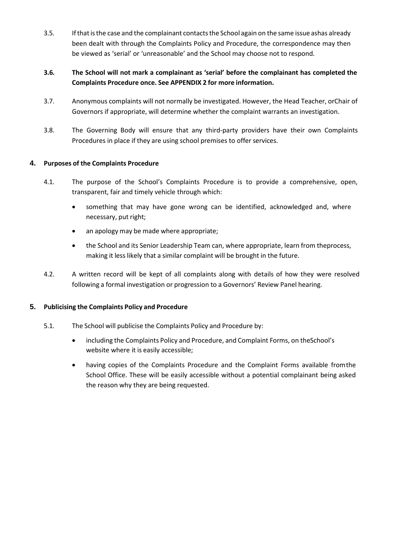- 3.5. Ifthatisthe case and the complainant contactsthe School again on the same issue ashas already been dealt with through the Complaints Policy and Procedure, the correspondence may then be viewed as 'serial' or 'unreasonable' and the School may choose not to respond.
- **3.6. The School will not mark a complainant as 'serial' before the complainant has completed the Complaints Procedure once. See APPENDIX 2 for more information.**
- 3.7. Anonymous complaints will not normally be investigated. However, the Head Teacher, orChair of Governors if appropriate, will determine whether the complaint warrants an investigation.
- 3.8. The Governing Body will ensure that any third-party providers have their own Complaints Procedures in place if they are using school premises to offer services.

#### **4. Purposes of the Complaints Procedure**

- 4.1. The purpose of the School's Complaints Procedure is to provide a comprehensive, open, transparent, fair and timely vehicle through which:
	- something that may have gone wrong can be identified, acknowledged and, where necessary, put right;
	- an apology may be made where appropriate;
	- the School and its Senior Leadership Team can, where appropriate, learn from theprocess, making it less likely that a similar complaint will be brought in the future.
- 4.2. A written record will be kept of all complaints along with details of how they were resolved following a formal investigation or progression to a Governors' Review Panel hearing.

#### **5. Publicising the Complaints Policy and Procedure**

- 5.1. The School will publicise the Complaints Policy and Procedure by:
	- including the Complaints Policy and Procedure, and Complaint Forms, on theSchool's website where it is easily accessible;
	- having copies of the Complaints Procedure and the Complaint Forms available fromthe School Office. These will be easily accessible without a potential complainant being asked the reason why they are being requested.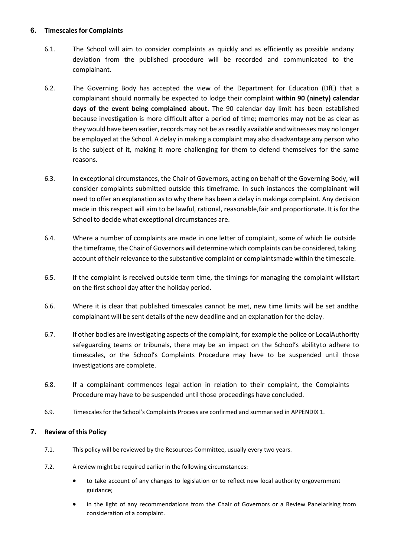#### **6. Timescales for Complaints**

- 6.1. The School will aim to consider complaints as quickly and as efficiently as possible andany deviation from the published procedure will be recorded and communicated to the complainant.
- 6.2. The Governing Body has accepted the view of the Department for Education (DfE) that a complainant should normally be expected to lodge their complaint **within 90 (ninety) calendar days of the event being complained about.** The 90 calendar day limit has been established because investigation is more difficult after a period of time; memories may not be as clear as they would have been earlier, records may not be as readily available and witnesses may no longer be employed at the School. A delay in making a complaint may also disadvantage any person who is the subject of it, making it more challenging for them to defend themselves for the same reasons.
- 6.3. In exceptional circumstances, the Chair of Governors, acting on behalf of the Governing Body, will consider complaints submitted outside this timeframe. In such instances the complainant will need to offer an explanation as to why there has been a delay in makinga complaint. Any decision made in this respect will aim to be lawful, rational, reasonable,fair and proportionate. It isfor the School to decide what exceptional circumstances are.
- 6.4. Where a number of complaints are made in one letter of complaint, some of which lie outside the timeframe, the Chair of Governors will determine which complaints can be considered, taking account oftheir relevance to the substantive complaint or complaintsmade within the timescale.
- 6.5. If the complaint is received outside term time, the timings for managing the complaint willstart on the first school day after the holiday period.
- 6.6. Where it is clear that published timescales cannot be met, new time limits will be set andthe complainant will be sent details of the new deadline and an explanation for the delay.
- 6.7. If other bodies are investigating aspects of the complaint, for example the police or LocalAuthority safeguarding teams or tribunals, there may be an impact on the School's abilityto adhere to timescales, or the School's Complaints Procedure may have to be suspended until those investigations are complete.
- 6.8. If a complainant commences legal action in relation to their complaint, the Complaints Procedure may have to be suspended until those proceedings have concluded.
- 6.9. Timescalesfor the School's Complaints Process are confirmed and summarised in APPENDIX 1.

#### **7. Review of this Policy**

- 7.1. This policy will be reviewed by the Resources Committee, usually every two years.
- 7.2. A review might be required earlier in the following circumstances:
	- to take account of any changes to legislation or to reflect new local authority orgovernment guidance;
	- in the light of any recommendations from the Chair of Governors or a Review Panelarising from consideration of a complaint.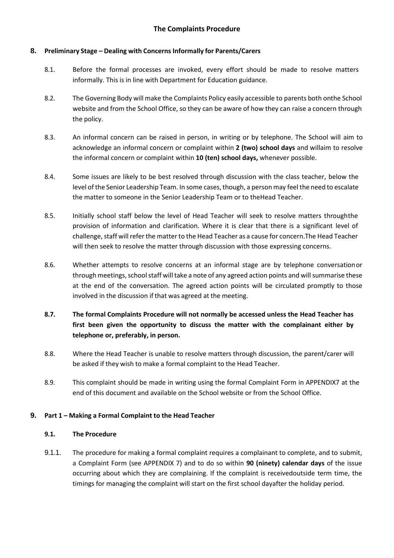#### **8. Preliminary Stage – Dealing with Concerns Informally for Parents/Carers**

- 8.1. Before the formal processes are invoked, every effort should be made to resolve matters informally. This is in line with Department for Education guidance.
- 8.2. The Governing Body will make the Complaints Policy easily accessible to parents both onthe School website and from the School Office, so they can be aware of how they can raise a concern through the policy.
- 8.3. An informal concern can be raised in person, in writing or by telephone. The School will aim to acknowledge an informal concern or complaint within **2 (two) school days** and willaim to resolve the informal concern or complaint within **10 (ten) school days,** whenever possible.
- 8.4. Some issues are likely to be best resolved through discussion with the class teacher, below the level of the Senior Leadership Team. In some cases, though, a person may feel the need to escalate the matter to someone in the Senior Leadership Team or to theHead Teacher.
- 8.5. Initially school staff below the level of Head Teacher will seek to resolve matters throughthe provision of information and clarification. Where it is clear that there is a significant level of challenge, staff will refer the matter to the Head Teacher as a cause for concern.The Head Teacher will then seek to resolve the matter through discussion with those expressing concerns.
- 8.6. Whether attempts to resolve concerns at an informal stage are by telephone conversationor through meetings, school staff will take a note of any agreed action points and will summarise these at the end of the conversation. The agreed action points will be circulated promptly to those involved in the discussion if that was agreed at the meeting.
- **8.7. The formal Complaints Procedure will not normally be accessed unless the Head Teacher has first been given the opportunity to discuss the matter with the complainant either by telephone or, preferably, in person.**
- 8.8. Where the Head Teacher is unable to resolve matters through discussion, the parent/carer will be asked if they wish to make a formal complaint to the Head Teacher.
- 8.9. This complaint should be made in writing using the formal Complaint Form in APPENDIX7 at the end of this document and available on the School website or from the School Office.

#### **9. Part 1 – Making a Formal Complaint to the Head Teacher**

#### **9.1. The Procedure**

9.1.1. The procedure for making a formal complaint requires a complainant to complete, and to submit, a Complaint Form (see APPENDIX 7) and to do so within **90 (ninety) calendar days** of the issue occurring about which they are complaining. If the complaint is receivedoutside term time, the timings for managing the complaint will start on the first school dayafter the holiday period.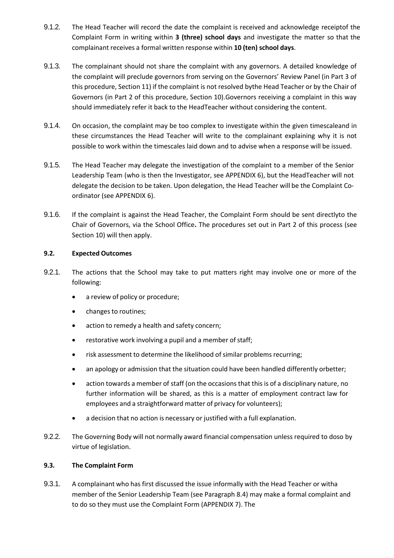- 9.1.2. The Head Teacher will record the date the complaint is received and acknowledge receiptof the Complaint Form in writing within **3 (three) school days** and investigate the matter so that the complainant receives a formal written response within **10 (ten) school days**.
- 9.1.3. The complainant should not share the complaint with any governors. A detailed knowledge of the complaint will preclude governors from serving on the Governors' Review Panel (in Part 3 of this procedure, Section 11) if the complaint is not resolved bythe Head Teacher or by the Chair of Governors (in Part 2 of this procedure, Section 10).Governors receiving a complaint in this way should immediately refer it back to the HeadTeacher without considering the content.
- 9.1.4. On occasion, the complaint may be too complex to investigate within the given timescaleand in these circumstances the Head Teacher will write to the complainant explaining why it is not possible to work within the timescales laid down and to advise when a response will be issued.
- 9.1.5. The Head Teacher may delegate the investigation of the complaint to a member of the Senior Leadership Team (who is then the Investigator, see APPENDIX 6), but the HeadTeacher will not delegate the decision to be taken. Upon delegation, the Head Teacher will be the Complaint Coordinator (see APPENDIX 6).
- 9.1.6. If the complaint is against the Head Teacher, the Complaint Form should be sent directlyto the Chair of Governors, via the School Office**.** The procedures set out in Part 2 of this process (see Section 10) will then apply.

#### **9.2. Expected Outcomes**

- 9.2.1. The actions that the School may take to put matters right may involve one or more of the following:
	- a review of policy or procedure;
	- changes to routines;
	- action to remedy a health and safety concern;
	- restorative work involving a pupil and a member of staff;
	- risk assessment to determine the likelihood of similar problems recurring;
	- an apology or admission that the situation could have been handled differently orbetter;
	- action towards a member of staff (on the occasions that this is of a disciplinary nature, no further information will be shared, as this is a matter of employment contract law for employees and a straightforward matter of privacy for volunteers);
	- a decision that no action is necessary or justified with a full explanation.
- 9.2.2. The Governing Body will not normally award financial compensation unless required to doso by virtue of legislation.

#### **9.3. The Complaint Form**

9.3.1. A complainant who has first discussed the issue informally with the Head Teacher or witha member of the Senior Leadership Team (see Paragraph 8.4) may make a formal complaint and to do so they must use the Complaint Form (APPENDIX 7). The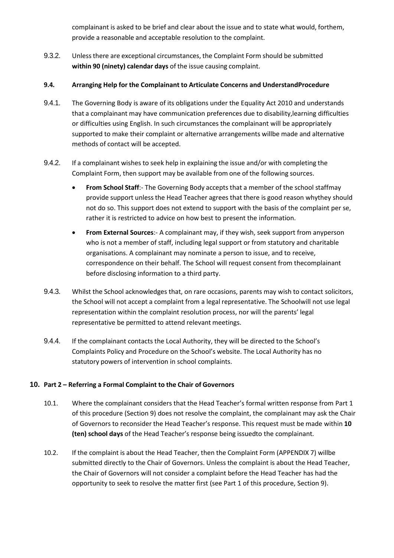complainant is asked to be brief and clear about the issue and to state what would, forthem, provide a reasonable and acceptable resolution to the complaint.

9.3.2. Unlessthere are exceptional circumstances, the Complaint Form should be submitted **within 90 (ninety) calendar days** of the issue causing complaint.

#### **9.4. Arranging Help for the Complainant to Articulate Concerns and UnderstandProcedure**

- 9.4.1. The Governing Body is aware of its obligations under the Equality Act 2010 and understands that a complainant may have communication preferences due to disability,learning difficulties or difficulties using English. In such circumstances the complainant will be appropriately supported to make their complaint or alternative arrangements willbe made and alternative methods of contact will be accepted.
- 9.4.2. If a complainant wishes to seek help in explaining the issue and/or with completing the Complaint Form, then support may be available from one of the following sources.
	- **From School Staff**:- The Governing Body accepts that a member of the school staffmay provide support unless the Head Teacher agrees that there is good reason whythey should not do so. This support does not extend to support with the basis of the complaint per se, rather it is restricted to advice on how best to present the information.
	- **From External Sources**:- A complainant may, if they wish, seek support from anyperson who is not a member of staff, including legal support or from statutory and charitable organisations. A complainant may nominate a person to issue, and to receive, correspondence on their behalf. The School will request consent from thecomplainant before disclosing information to a third party.
- 9.4.3. Whilst the School acknowledges that, on rare occasions, parents may wish to contact solicitors, the School will not accept a complaint from a legal representative. The Schoolwill not use legal representation within the complaint resolution process, nor will the parents' legal representative be permitted to attend relevant meetings.
- 9.4.4. If the complainant contacts the Local Authority, they will be directed to the School's Complaints Policy and Procedure on the School's website. The Local Authority has no statutory powers of intervention in school complaints.

#### **10. Part 2 – Referring a Formal Complaint to the Chair of Governors**

- 10.1. Where the complainant considers that the Head Teacher's formal written response from Part 1 of this procedure (Section 9) does not resolve the complaint, the complainant may ask the Chair of Governors to reconsider the Head Teacher's response. This request must be made within **10 (ten) school days** of the Head Teacher's response being issuedto the complainant.
- 10.2. If the complaint is about the Head Teacher, then the Complaint Form (APPENDIX 7) willbe submitted directly to the Chair of Governors. Unless the complaint is about the Head Teacher, the Chair of Governors will not consider a complaint before the Head Teacher has had the opportunity to seek to resolve the matter first (see Part 1 of this procedure, Section 9).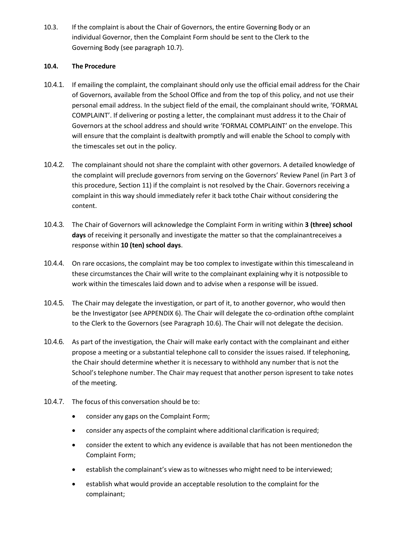10.3. If the complaint is about the Chair of Governors, the entire Governing Body or an individual Governor, then the Complaint Form should be sent to the Clerk to the Governing Body (see paragraph 10.7).

#### **10.4. The Procedure**

- 10.4.1. If emailing the complaint, the complainant should only use the official email address for the Chair of Governors, available from the School Office and from the top of this policy, and not use their personal email address. In the subject field of the email, the complainant should write, 'FORMAL COMPLAINT'. If delivering or posting a letter, the complainant must address it to the Chair of Governors at the school address and should write 'FORMAL COMPLAINT' on the envelope. This will ensure that the complaint is dealtwith promptly and will enable the School to comply with the timescales set out in the policy.
- 10.4.2. The complainant should not share the complaint with other governors. A detailed knowledge of the complaint will preclude governors from serving on the Governors' Review Panel (in Part 3 of this procedure, Section 11) if the complaint is not resolved by the Chair. Governors receiving a complaint in this way should immediately refer it back tothe Chair without considering the content.
- 10.4.3. The Chair of Governors will acknowledge the Complaint Form in writing within **3 (three) school days** of receiving it personally and investigate the matter so that the complainantreceives a response within **10 (ten) school days**.
- 10.4.4. On rare occasions, the complaint may be too complex to investigate within this timescaleand in these circumstances the Chair will write to the complainant explaining why it is notpossible to work within the timescales laid down and to advise when a response will be issued.
- 10.4.5. The Chair may delegate the investigation, or part of it, to another governor, who would then be the Investigator (see APPENDIX 6). The Chair will delegate the co-ordination ofthe complaint to the Clerk to the Governors (see Paragraph 10.6). The Chair will not delegate the decision.
- 10.4.6. As part of the investigation, the Chair will make early contact with the complainant and either propose a meeting or a substantial telephone call to consider the issues raised. If telephoning, the Chair should determine whether it is necessary to withhold any number that is not the School's telephone number. The Chair may request that another person ispresent to take notes of the meeting.
- 10.4.7. The focus of this conversation should be to:
	- consider any gaps on the Complaint Form;
	- consider any aspects of the complaint where additional clarification is required;
	- consider the extent to which any evidence is available that has not been mentionedon the Complaint Form;
	- establish the complainant's view asto witnesses who might need to be interviewed;
	- establish what would provide an acceptable resolution to the complaint for the complainant;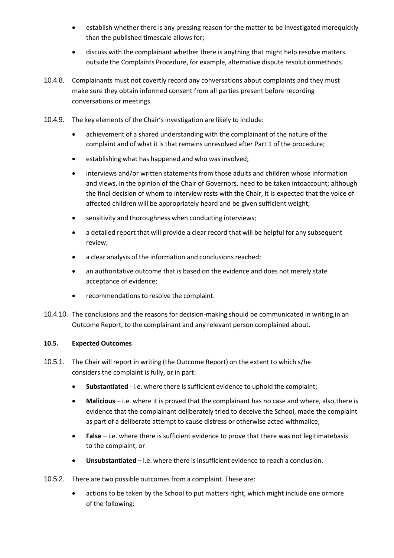- establish whether there is any pressing reason for the matter to be investigated morequickly than the published timescale allows for;
- discuss with the complainant whether there is anything that might help resolve matters outside the Complaints Procedure, for example, alternative dispute resolutionmethods.
- 10.4.8. Complainants must not covertly record any conversations about complaints and they must make sure they obtain informed consent from all parties present before recording conversations or meetings.
- 10.4.9. The key elements of the Chair's investigation are likely to include:
	- achievement of a shared understanding with the complainant of the nature of the complaint and of what it is that remains unresolved after Part 1 of the procedure;
	- **•** establishing what has happened and who was involved;
	- interviews and/or written statements from those adults and children whose information and views, in the opinion of the Chair of Governors, need to be taken intoaccount; although the final decision of whom to interview rests with the Chair, it is expected that the voice of affected children will be appropriately heard and be given sufficient weight;
	- sensitivity and thoroughness when conducting interviews;
	- a detailed report that will provide a clear record that will be helpful for any subsequent review;
	- a clear analysis of the information and conclusions reached;
	- an authoritative outcome that is based on the evidence and does not merely state acceptance of evidence;
	- recommendations to resolve the complaint.
- 10.4.10. The conclusions and the reasons for decision-making should be communicated in writing,in an Outcome Report, to the complainant and any relevant person complained about.

#### **10.5. Expected Outcomes**

- 10.5.1. The Chair will report in writing (the Outcome Report) on the extent to which s/he considers the complaint is fully, or in part:
	- **Substantiated** i.e. where there is sufficient evidence to uphold the complaint;
	- **Malicious** i.e. where it is proved that the complainant has no case and where, also, there is evidence that the complainant deliberately tried to deceive the School, made the complaint as part of a deliberate attempt to cause distress or otherwise acted withmalice;
	- False i.e. where there is sufficient evidence to prove that there was not legitimatebasis to the complaint, or
	- **Unsubstantiated** i.e. where there is insufficient evidence to reach a conclusion.
- 10.5.2. There are two possible outcomes from a complaint. These are:
	- actions to be taken by the School to put matters right, which might include one ormore of the following: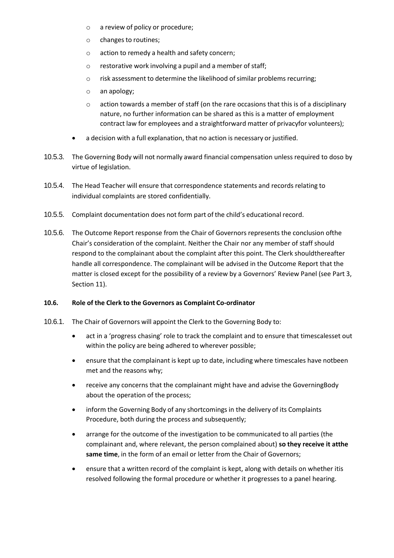- o a review of policy or procedure;
- o changes to routines;
- o action to remedy a health and safety concern;
- o restorative work involving a pupil and a member of staff;
- o risk assessment to determine the likelihood ofsimilar problems recurring;
- o an apology;
- $\circ$  action towards a member of staff (on the rare occasions that this is of a disciplinary nature, no further information can be shared as this is a matter of employment contract law for employees and a straightforward matter of privacyfor volunteers);
- a decision with a full explanation, that no action is necessary or justified.
- 10.5.3. The Governing Body will not normally award financial compensation unless required to doso by virtue of legislation.
- 10.5.4. The Head Teacher will ensure that correspondence statements and records relating to individual complaints are stored confidentially.
- 10.5.5. Complaint documentation does not form part of the child's educational record.
- 10.5.6. The Outcome Report response from the Chair of Governors represents the conclusion ofthe Chair's consideration of the complaint. Neither the Chair nor any member of staff should respond to the complainant about the complaint after this point. The Clerk shouldthereafter handle all correspondence. The complainant will be advised in the Outcome Report that the matter is closed except for the possibility of a review by a Governors' Review Panel (see Part 3, Section 11).

#### **10.6. Role of the Clerk to the Governors as Complaint Co-ordinator**

- 10.6.1. The Chair of Governors will appoint the Clerk to the Governing Body to:
	- act in a 'progress chasing' role to track the complaint and to ensure that timescalesset out within the policy are being adhered to wherever possible;
	- ensure that the complainant is kept up to date, including where timescales have notbeen met and the reasons why;
	- receive any concerns that the complainant might have and advise the GoverningBody about the operation of the process;
	- inform the Governing Body of any shortcomings in the delivery of its Complaints Procedure, both during the process and subsequently;
	- arrange for the outcome of the investigation to be communicated to all parties (the complainant and, where relevant, the person complained about) **so they receive it atthe same time**, in the form of an email or letter from the Chair of Governors;
	- ensure that a written record of the complaint is kept, along with details on whether itis resolved following the formal procedure or whether it progresses to a panel hearing.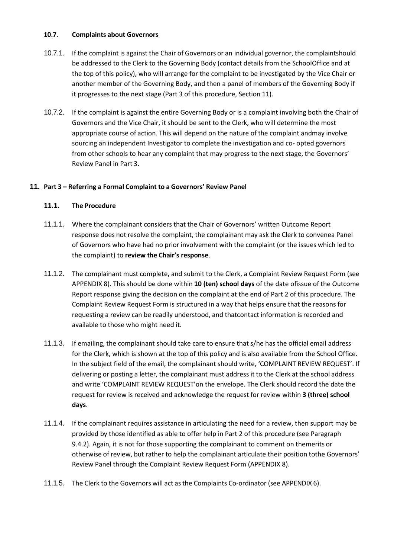#### **10.7. Complaints about Governors**

- 10.7.1. If the complaint is against the Chair of Governors or an individual governor, the complaintshould be addressed to the Clerk to the Governing Body (contact details from the SchoolOffice and at the top of this policy), who will arrange for the complaint to be investigated by the Vice Chair or another member of the Governing Body, and then a panel of members of the Governing Body if it progresses to the next stage (Part 3 of this procedure, Section 11).
- 10.7.2. If the complaint is against the entire Governing Body or is a complaint involving both the Chair of Governors and the Vice Chair, it should be sent to the Clerk, who will determine the most appropriate course of action. This will depend on the nature of the complaint andmay involve sourcing an independent Investigator to complete the investigation and co- opted governors from other schools to hear any complaint that may progress to the next stage, the Governors' Review Panel in Part 3.

#### **11. Part 3 – Referring a Formal Complaint to a Governors' Review Panel**

#### **11.1. The Procedure**

- 11.1.1. Where the complainant considers that the Chair of Governors' written Outcome Report response does not resolve the complaint, the complainant may ask the Clerk to convenea Panel of Governors who have had no prior involvement with the complaint (or the issues which led to the complaint) to **review the Chair's response**.
- 11.1.2. The complainant must complete, and submit to the Clerk, a Complaint Review Request Form (see APPENDIX 8). This should be done within **10 (ten) school days** of the date ofissue of the Outcome Report response giving the decision on the complaint at the end of Part 2 of this procedure. The Complaint Review Request Form is structured in a way that helps ensure that the reasons for requesting a review can be readily understood, and thatcontact information isrecorded and available to those who might need it.
- 11.1.3. If emailing, the complainant should take care to ensure that s/he has the official email address for the Clerk, which is shown at the top of this policy and is also available from the School Office. In the subject field of the email, the complainant should write, 'COMPLAINT REVIEW REQUEST'. If delivering or posting a letter, the complainant must address it to the Clerk at the school address and write 'COMPLAINT REVIEW REQUEST'on the envelope. The Clerk should record the date the request for review is received and acknowledge the request for review within **3 (three) school days**.
- 11.1.4. If the complainant requires assistance in articulating the need for a review, then support may be provided by those identified as able to offer help in Part 2 of this procedure (see Paragraph 9.4.2). Again, it is not for those supporting the complainant to comment on themerits or otherwise of review, but rather to help the complainant articulate their position tothe Governors' Review Panel through the Complaint Review Request Form (APPENDIX 8).
- 11.1.5. The Clerk to the Governors will act asthe Complaints Co-ordinator (see APPENDIX 6).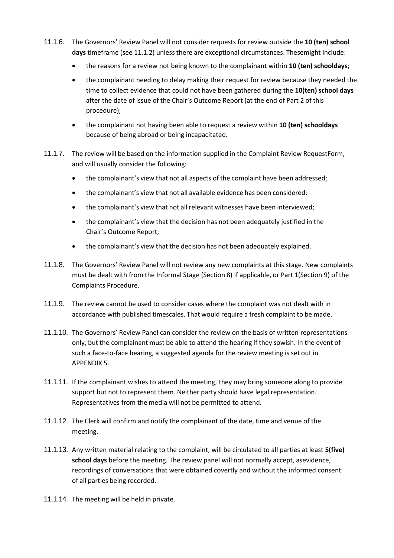- 11.1.6. The Governors' Review Panel will not consider requests for review outside the **10 (ten) school days** timeframe (see 11.1.2) unless there are exceptional circumstances. Thesemight include:
	- the reasons for a review not being known to the complainant within **10 (ten) schooldays**;
	- the complainant needing to delay making their request for review because they needed the time to collect evidence that could not have been gathered during the **10(ten) school days**  after the date of issue of the Chair's Outcome Report (at the end of Part 2 of this procedure);
	- the complainant not having been able to request a review within **10 (ten) schooldays** because of being abroad or being incapacitated.
- 11.1.7. The review will be based on the information supplied in the Complaint Review RequestForm, and will usually consider the following:
	- the complainant's view that not all aspects of the complaint have been addressed;
	- the complainant's view that not all available evidence has been considered;
	- the complainant's view that not all relevant witnesses have been interviewed;
	- the complainant's view that the decision has not been adequately justified in the Chair's Outcome Report;
	- the complainant's view that the decision has not been adequately explained.
- 11.1.8. The Governors' Review Panel will not review any new complaints at this stage. New complaints must be dealt with from the Informal Stage (Section 8) if applicable, or Part 1(Section 9) of the Complaints Procedure.
- 11.1.9. The review cannot be used to consider cases where the complaint was not dealt with in accordance with published timescales. That would require a fresh complaint to be made.
- 11.1.10. The Governors' Review Panel can consider the review on the basis of written representations only, but the complainant must be able to attend the hearing if they sowish. In the event of such a face-to-face hearing, a suggested agenda for the review meeting is set out in APPENDIX 5.
- 11.1.11. If the complainant wishes to attend the meeting, they may bring someone along to provide support but not to represent them. Neither party should have legal representation. Representatives from the media will not be permitted to attend.
- 11.1.12. The Clerk will confirm and notify the complainant of the date, time and venue of the meeting.
- 11.1.13. Any written material relating to the complaint, will be circulated to all parties at least **5(five) school days** before the meeting. The review panel will not normally accept, asevidence, recordings of conversations that were obtained covertly and without the informed consent of all parties being recorded.
- 11.1.14. The meeting will be held in private.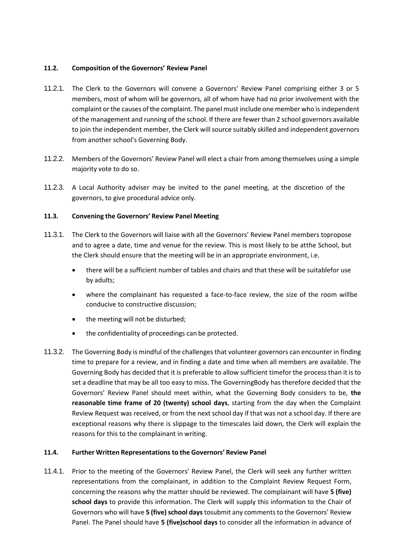#### **11.2. Composition of the Governors' Review Panel**

- 11.2.1. The Clerk to the Governors will convene a Governors' Review Panel comprising either 3 or 5 members, most of whom will be governors, all of whom have had no prior involvement with the complaint or the causes of the complaint. The panel must include one member who is independent of the management and running of the school. If there are fewer than 2 school governors available to join the independent member, the Clerk will source suitably skilled and independent governors from another school's Governing Body.
- 11.2.2. Members of the Governors' Review Panel will elect a chair from among themselves using a simple majority vote to do so.
- 11.2.3. A Local Authority adviser may be invited to the panel meeting, at the discretion of the governors, to give procedural advice only.

#### **11.3. Convening the Governors' Review Panel Meeting**

- 11.3.1. The Clerk to the Governors will liaise with all the Governors' Review Panel members topropose and to agree a date, time and venue for the review. This is most likely to be atthe School, but the Clerk should ensure that the meeting will be in an appropriate environment, i.e.
	- there will be a sufficient number of tables and chairs and that these will be suitablefor use by adults;
	- where the complainant has requested a face-to-face review, the size of the room willbe conducive to constructive discussion;
	- the meeting will not be disturbed;
	- the confidentiality of proceedings can be protected.
- 11.3.2. The Governing Body is mindful of the challenges that volunteer governors can encounter in finding time to prepare for a review, and in finding a date and time when all members are available. The Governing Body has decided that it is preferable to allow sufficient timefor the process than it is to set a deadline that may be all too easy to miss. The GoverningBody has therefore decided that the Governors' Review Panel should meet within, what the Governing Body considers to be, **the reasonable time frame of 20 (twenty) school days**, starting from the day when the Complaint Review Request was received, or from the next school day if that was not a school day. If there are exceptional reasons why there is slippage to the timescales laid down, the Clerk will explain the reasons for this to the complainant in writing.

#### **11.4. Further Written Representations to the Governors' Review Panel**

11.4.1. Prior to the meeting of the Governors' Review Panel, the Clerk will seek any further written representations from the complainant, in addition to the Complaint Review Request Form, concerning the reasons why the matter should be reviewed. The complainant will have **5 (five) school days** to provide this information. The Clerk will supply this information to the Chair of Governors who will have **5 (five) school days** tosubmit any comments to the Governors' Review Panel. The Panel should have **5 (five)school days** to consider all the information in advance of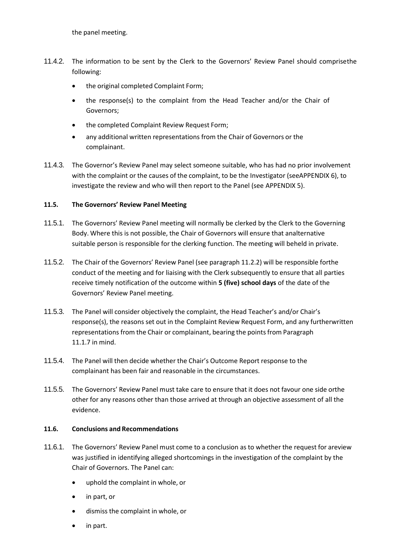- 11.4.2. The information to be sent by the Clerk to the Governors' Review Panel should comprisethe following:
	- the original completed Complaint Form;
	- the response(s) to the complaint from the Head Teacher and/or the Chair of Governors;
	- the completed Complaint Review Request Form;
	- any additional written representations from the Chair of Governors or the complainant.
- 11.4.3. The Governor's Review Panel may select someone suitable, who has had no prior involvement with the complaint or the causes of the complaint, to be the Investigator (seeAPPENDIX 6), to investigate the review and who will then report to the Panel (see APPENDIX 5).

#### **11.5. The Governors' Review Panel Meeting**

- 11.5.1. The Governors' Review Panel meeting will normally be clerked by the Clerk to the Governing Body. Where this is not possible, the Chair of Governors will ensure that analternative suitable person is responsible for the clerking function. The meeting will beheld in private.
- 11.5.2. The Chair of the Governors' Review Panel (see paragraph 11.2.2) will be responsible forthe conduct of the meeting and for liaising with the Clerk subsequently to ensure that all parties receive timely notification of the outcome within **5 (five) school days** of the date of the Governors' Review Panel meeting.
- 11.5.3. The Panel will consider objectively the complaint, the Head Teacher's and/or Chair's response(s), the reasons set out in the Complaint Review Request Form, and any furtherwritten representations from the Chair or complainant, bearing the points from Paragraph 11.1.7 in mind.
- 11.5.4. The Panel will then decide whether the Chair's Outcome Report response to the complainant has been fair and reasonable in the circumstances.
- 11.5.5. The Governors' Review Panel must take care to ensure that it does not favour one side orthe other for any reasons other than those arrived at through an objective assessment of all the evidence.

#### **11.6. Conclusions and Recommendations**

- 11.6.1. The Governors' Review Panel must come to a conclusion as to whether the request for areview was justified in identifying alleged shortcomings in the investigation of the complaint by the Chair of Governors. The Panel can:
	- uphold the complaint in whole, or
	- in part, or
	- dismissthe complaint in whole, or
	- in part.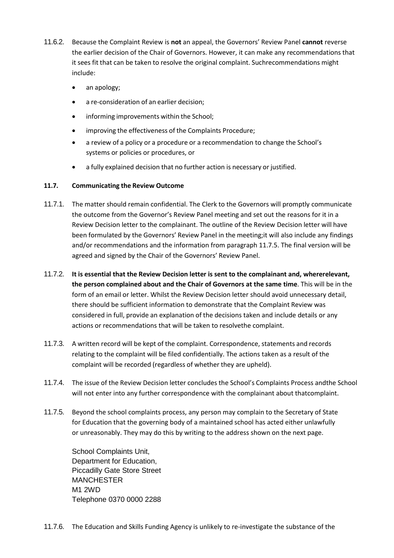- 11.6.2. Because the Complaint Review is **not** an appeal, the Governors' Review Panel **cannot** reverse the earlier decision of the Chair of Governors. However, it can make any recommendations that it sees fit that can be taken to resolve the original complaint. Suchrecommendations might include:
	- an apology;
	- a re-consideration of an earlier decision;
	- informing improvements within the School;
	- improving the effectiveness of the Complaints Procedure;
	- a review of a policy or a procedure or a recommendation to change the School's systems or policies or procedures, or
	- a fully explained decision that no further action is necessary or justified.

#### **11.7. Communicating the Review Outcome**

- 11.7.1. The matter should remain confidential. The Clerk to the Governors will promptly communicate the outcome from the Governor's Review Panel meeting and set out the reasons for it in a Review Decision letter to the complainant. The outline of the Review Decision letter will have been formulated by the Governors' Review Panel in the meeting;it will also include any findings and/or recommendations and the information from paragraph 11.7.5. The final version will be agreed and signed by the Chair of the Governors' Review Panel.
- 11.7.2. **It is essential that the Review Decision letter is sent to the complainant and, whererelevant, the person complained about and the Chair of Governors at the same time**. This will be in the form of an email or letter. Whilst the Review Decision letter should avoid unnecessary detail, there should be sufficient information to demonstrate that the Complaint Review was considered in full, provide an explanation of the decisions taken and include details or any actions or recommendations that will be taken to resolvethe complaint.
- 11.7.3. A written record will be kept of the complaint. Correspondence, statements and records relating to the complaint will be filed confidentially. The actions taken as a result of the complaint will be recorded (regardless of whether they are upheld).
- 11.7.4. The issue of the Review Decision letter concludes the School's Complaints Process andthe School will not enter into any further correspondence with the complainant about thatcomplaint.
- 11.7.5. Beyond the school complaints process, any person may complain to the Secretary of State for Education that the governing body of a maintained school has acted either unlawfully or unreasonably. They may do this by writing to the address shown on the next page.

School Complaints Unit, Department for Education, Piccadilly Gate Store Street **MANCHESTER** M1 2WD Telephone 0370 0000 2288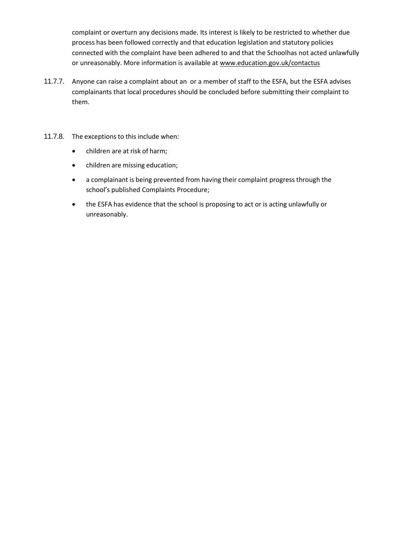complaint or overturn any decisions made. Its interest is likely to be restricted to whether due process has been followed correctly and that education legislation and statutory policies connected with the complaint have been adhered to and that the Schoolhas not acted unlawfully or unreasonably. More information is available at [www.education.gov.uk/contactus](http://www.education.gov.uk/contactus)

- 11.7.7. Anyone can raise a complaint about an or a member of staff to the ESFA, but the ESFA advises complainants that local procedures should be concluded before submitting their complaint to them.
- 11.7.8. The exceptions to this include when:
	- children are at risk of harm;
	- children are missing education;
	- a complainant is being prevented from having their complaint progress through the school's published Complaints Procedure;
	- the ESFA has evidence that the school is proposing to act or is acting unlawfully or unreasonably.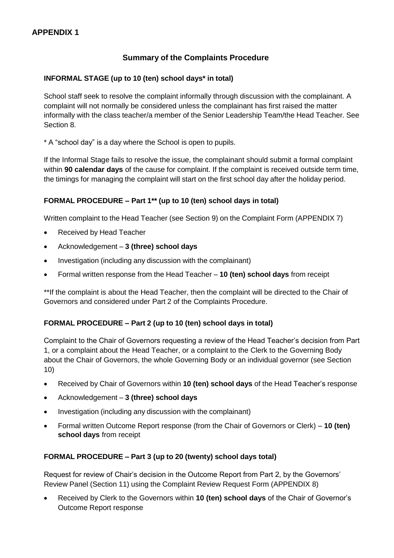#### **Summary of the Complaints Procedure**

#### **INFORMAL STAGE (up to 10 (ten) school days\* in total)**

School staff seek to resolve the complaint informally through discussion with the complainant. A complaint will not normally be considered unless the complainant has first raised the matter informally with the class teacher/a member of the Senior Leadership Team/the Head Teacher. See Section 8.

\* A "school day" is a day where the School is open to pupils.

If the Informal Stage fails to resolve the issue, the complainant should submit a formal complaint within **90 calendar days** of the cause for complaint. If the complaint is received outside term time, the timings for managing the complaint will start on the first school day after the holiday period.

#### **FORMAL PROCEDURE – Part 1\*\* (up to 10 (ten) school days in total)**

Written complaint to the Head Teacher (see Section 9) on the Complaint Form (APPENDIX 7)

- Received by Head Teacher
- Acknowledgement **3 (three) school days**
- Investigation (including any discussion with the complainant)
- Formal written response from the Head Teacher **10 (ten) school days** from receipt

\*\*If the complaint is about the Head Teacher, then the complaint will be directed to the Chair of Governors and considered under Part 2 of the Complaints Procedure.

#### **FORMAL PROCEDURE – Part 2 (up to 10 (ten) school days in total)**

Complaint to the Chair of Governors requesting a review of the Head Teacher's decision from Part 1, or a complaint about the Head Teacher, or a complaint to the Clerk to the Governing Body about the Chair of Governors, the whole Governing Body or an individual governor (see Section 10)

- Received by Chair of Governors within **10 (ten) school days** of the Head Teacher's response
- Acknowledgement **3 (three) school days**
- Investigation (including any discussion with the complainant)
- Formal written Outcome Report response (from the Chair of Governors or Clerk) **10 (ten) school days** from receipt

#### **FORMAL PROCEDURE – Part 3 (up to 20 (twenty) school days total)**

Request for review of Chair's decision in the Outcome Report from Part 2, by the Governors' Review Panel (Section 11) using the Complaint Review Request Form (APPENDIX 8)

 Received by Clerk to the Governors within **10 (ten) school days** of the Chair of Governor's Outcome Report response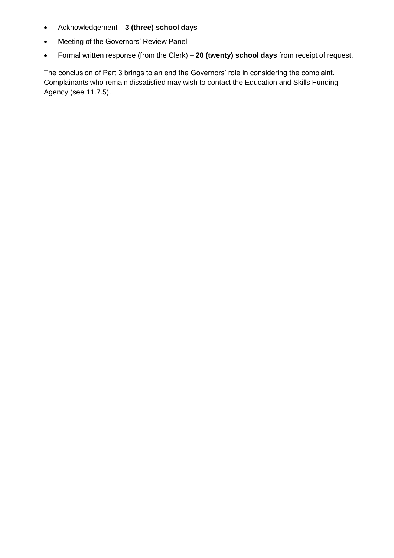- Acknowledgement **3 (three) school days**
- Meeting of the Governors' Review Panel
- Formal written response (from the Clerk) **20 (twenty) school days** from receipt of request.

The conclusion of Part 3 brings to an end the Governors' role in considering the complaint. Complainants who remain dissatisfied may wish to contact the Education and Skills Funding Agency (see 11.7.5).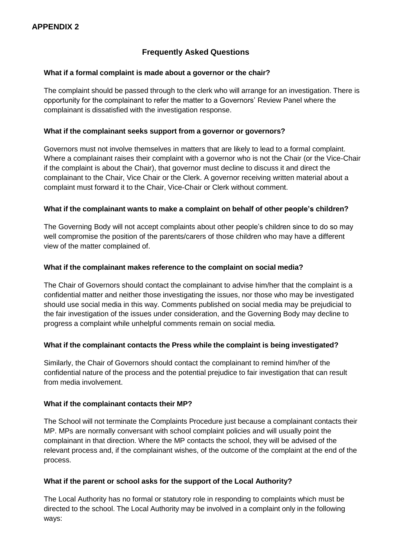#### **Frequently Asked Questions**

#### **What if a formal complaint is made about a governor or the chair?**

The complaint should be passed through to the clerk who will arrange for an investigation. There is opportunity for the complainant to refer the matter to a Governors' Review Panel where the complainant is dissatisfied with the investigation response.

#### **What if the complainant seeks support from a governor or governors?**

Governors must not involve themselves in matters that are likely to lead to a formal complaint. Where a complainant raises their complaint with a governor who is not the Chair (or the Vice-Chair if the complaint is about the Chair), that governor must decline to discuss it and direct the complainant to the Chair, Vice Chair or the Clerk. A governor receiving written material about a complaint must forward it to the Chair, Vice-Chair or Clerk without comment.

#### **What if the complainant wants to make a complaint on behalf of other people's children?**

The Governing Body will not accept complaints about other people's children since to do so may well compromise the position of the parents/carers of those children who may have a different view of the matter complained of.

#### **What if the complainant makes reference to the complaint on social media?**

The Chair of Governors should contact the complainant to advise him/her that the complaint is a confidential matter and neither those investigating the issues, nor those who may be investigated should use social media in this way. Comments published on social media may be prejudicial to the fair investigation of the issues under consideration, and the Governing Body may decline to progress a complaint while unhelpful comments remain on social media.

#### **What if the complainant contacts the Press while the complaint is being investigated?**

Similarly, the Chair of Governors should contact the complainant to remind him/her of the confidential nature of the process and the potential prejudice to fair investigation that can result from media involvement.

#### **What if the complainant contacts their MP?**

The School will not terminate the Complaints Procedure just because a complainant contacts their MP. MPs are normally conversant with school complaint policies and will usually point the complainant in that direction. Where the MP contacts the school, they will be advised of the relevant process and, if the complainant wishes, of the outcome of the complaint at the end of the process.

#### **What if the parent or school asks for the support of the Local Authority?**

The Local Authority has no formal or statutory role in responding to complaints which must be directed to the school. The Local Authority may be involved in a complaint only in the following ways: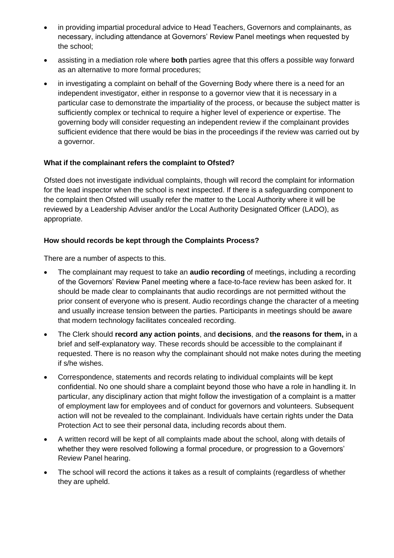- in providing impartial procedural advice to Head Teachers, Governors and complainants, as necessary, including attendance at Governors' Review Panel meetings when requested by the school;
- assisting in a mediation role where **both** parties agree that this offers a possible way forward as an alternative to more formal procedures;
- in investigating a complaint on behalf of the Governing Body where there is a need for an independent investigator, either in response to a governor view that it is necessary in a particular case to demonstrate the impartiality of the process, or because the subject matter is sufficiently complex or technical to require a higher level of experience or expertise. The governing body will consider requesting an independent review if the complainant provides sufficient evidence that there would be bias in the proceedings if the review was carried out by a governor.

#### **What if the complainant refers the complaint to Ofsted?**

Ofsted does not investigate individual complaints, though will record the complaint for information for the lead inspector when the school is next inspected. If there is a safeguarding component to the complaint then Ofsted will usually refer the matter to the Local Authority where it will be reviewed by a Leadership Adviser and/or the Local Authority Designated Officer (LADO), as appropriate.

#### **How should records be kept through the Complaints Process?**

There are a number of aspects to this.

- The complainant may request to take an **audio recording** of meetings, including a recording of the Governors' Review Panel meeting where a face-to-face review has been asked for. It should be made clear to complainants that audio recordings are not permitted without the prior consent of everyone who is present. Audio recordings change the character of a meeting and usually increase tension between the parties. Participants in meetings should be aware that modern technology facilitates concealed recording.
- The Clerk should **record any action points**, and **decisions**, and **the reasons for them,** in a brief and self-explanatory way. These records should be accessible to the complainant if requested. There is no reason why the complainant should not make notes during the meeting if s/he wishes.
- Correspondence, statements and records relating to individual complaints will be kept confidential. No one should share a complaint beyond those who have a role in handling it. In particular, any disciplinary action that might follow the investigation of a complaint is a matter of employment law for employees and of conduct for governors and volunteers. Subsequent action will not be revealed to the complainant. Individuals have certain rights under the Data Protection Act to see their personal data, including records about them.
- A written record will be kept of all complaints made about the school, along with details of whether they were resolved following a formal procedure, or progression to a Governors' Review Panel hearing.
- The school will record the actions it takes as a result of complaints (regardless of whether they are upheld.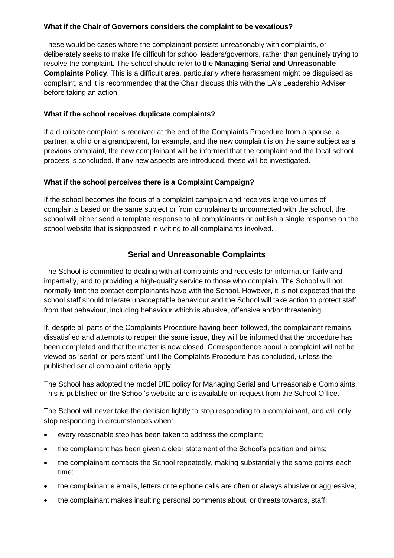#### **What if the Chair of Governors considers the complaint to be vexatious?**

These would be cases where the complainant persists unreasonably with complaints, or deliberately seeks to make life difficult for school leaders/governors, rather than genuinely trying to resolve the complaint. The school should refer to the **Managing Serial and Unreasonable Complaints Policy**. This is a difficult area, particularly where harassment might be disguised as complaint, and it is recommended that the Chair discuss this with the LA's Leadership Adviser before taking an action.

#### **What if the school receives duplicate complaints?**

If a duplicate complaint is received at the end of the Complaints Procedure from a spouse, a partner, a child or a grandparent, for example, and the new complaint is on the same subject as a previous complaint, the new complainant will be informed that the complaint and the local school process is concluded. If any new aspects are introduced, these will be investigated.

#### **What if the school perceives there is a Complaint Campaign?**

If the school becomes the focus of a complaint campaign and receives large volumes of complaints based on the same subject or from complainants unconnected with the school, the school will either send a template response to all complainants or publish a single response on the school website that is signposted in writing to all complainants involved.

#### **Serial and Unreasonable Complaints**

The School is committed to dealing with all complaints and requests for information fairly and impartially, and to providing a high-quality service to those who complain. The School will not normally limit the contact complainants have with the School. However, it is not expected that the school staff should tolerate unacceptable behaviour and the School will take action to protect staff from that behaviour, including behaviour which is abusive, offensive and/or threatening.

If, despite all parts of the Complaints Procedure having been followed, the complainant remains dissatisfied and attempts to reopen the same issue, they will be informed that the procedure has been completed and that the matter is now closed. Correspondence about a complaint will not be viewed as 'serial' or 'persistent' until the Complaints Procedure has concluded, unless the published serial complaint criteria apply.

The School has adopted the model DfE policy for Managing Serial and Unreasonable Complaints. This is published on the School's website and is available on request from the School Office.

The School will never take the decision lightly to stop responding to a complainant, and will only stop responding in circumstances when:

- every reasonable step has been taken to address the complaint;
- the complainant has been given a clear statement of the School's position and aims;
- the complainant contacts the School repeatedly, making substantially the same points each time;
- the complainant's emails, letters or telephone calls are often or always abusive or aggressive;
- the complainant makes insulting personal comments about, or threats towards, staff;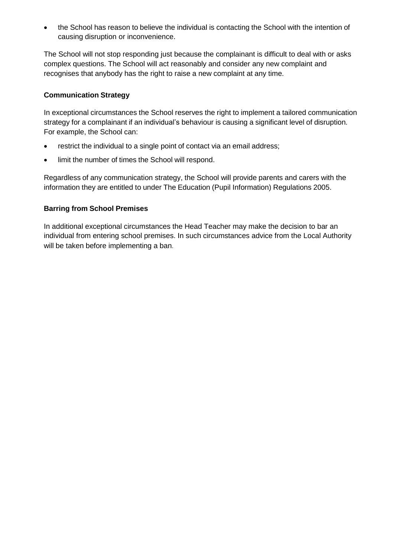the School has reason to believe the individual is contacting the School with the intention of causing disruption or inconvenience.

The School will not stop responding just because the complainant is difficult to deal with or asks complex questions. The School will act reasonably and consider any new complaint and recognises that anybody has the right to raise a new complaint at any time.

#### **Communication Strategy**

In exceptional circumstances the School reserves the right to implement a tailored communication strategy for a complainant if an individual's behaviour is causing a significant level of disruption. For example, the School can:

- restrict the individual to a single point of contact via an email address;
- limit the number of times the School will respond.

Regardless of any communication strategy, the School will provide parents and carers with the information they are entitled to under The Education (Pupil Information) Regulations 2005.

#### **Barring from School Premises**

In additional exceptional circumstances the Head Teacher may make the decision to bar an individual from entering school premises. In such circumstances advice from the Local Authority will be taken before implementing a ban.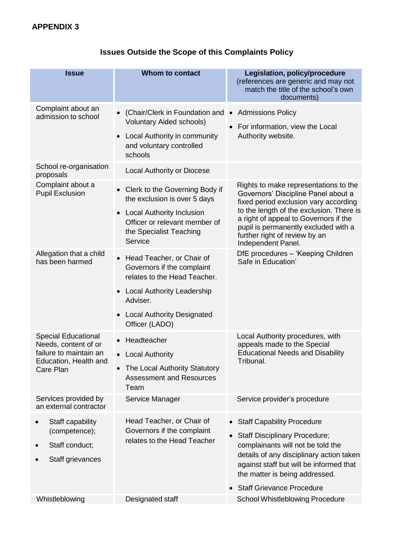|  |  |  |  |  | <b>Issues Outside the Scope of this Complaints Policy</b> |  |
|--|--|--|--|--|-----------------------------------------------------------|--|
|--|--|--|--|--|-----------------------------------------------------------|--|

| <b>Issue</b>                                                                                                       | <b>Whom to contact</b>                                                                                                                                                                                             | Legislation, policy/procedure<br>(references are generic and may not<br>match the title of the school's own<br>documents)                                                                                                                                                                                 |  |
|--------------------------------------------------------------------------------------------------------------------|--------------------------------------------------------------------------------------------------------------------------------------------------------------------------------------------------------------------|-----------------------------------------------------------------------------------------------------------------------------------------------------------------------------------------------------------------------------------------------------------------------------------------------------------|--|
| Complaint about an<br>admission to school                                                                          | (Chair/Clerk in Foundation and •<br>Voluntary Aided schools)                                                                                                                                                       | <b>Admissions Policy</b><br>For information, view the Local<br>Authority website.                                                                                                                                                                                                                         |  |
|                                                                                                                    | Local Authority in community<br>$\bullet$<br>and voluntary controlled<br>schools                                                                                                                                   |                                                                                                                                                                                                                                                                                                           |  |
| School re-organisation<br>proposals                                                                                | <b>Local Authority or Diocese</b>                                                                                                                                                                                  |                                                                                                                                                                                                                                                                                                           |  |
| Complaint about a<br><b>Pupil Exclusion</b>                                                                        | Clerk to the Governing Body if<br>the exclusion is over 5 days<br><b>Local Authority Inclusion</b><br>Officer or relevant member of<br>the Specialist Teaching<br>Service                                          | Rights to make representations to the<br>Governors' Discipline Panel about a<br>fixed period exclusion vary according<br>to the length of the exclusion. There is<br>a right of appeal to Governors if the<br>pupil is permanently excluded with a<br>further right of review by an<br>Independent Panel. |  |
| Allegation that a child<br>has been harmed                                                                         | Head Teacher, or Chair of<br>$\bullet$<br>Governors if the complaint<br>relates to the Head Teacher.<br>Local Authority Leadership<br>$\bullet$<br>Adviser.<br><b>Local Authority Designated</b><br>Officer (LADO) | DfE procedures - 'Keeping Children<br>Safe in Education'                                                                                                                                                                                                                                                  |  |
| <b>Special Educational</b><br>Needs, content of or<br>failure to maintain an<br>Education. Health and<br>Care Plan | Headteacher<br><b>Local Authority</b><br>The Local Authority Statutory<br><b>Assessment and Resources</b><br>Team                                                                                                  | Local Authority procedures, with<br>appeals made to the Special<br><b>Educational Needs and Disability</b><br>Tribunal.                                                                                                                                                                                   |  |
| Services provided by<br>an external contractor                                                                     | Service Manager                                                                                                                                                                                                    | Service provider's procedure                                                                                                                                                                                                                                                                              |  |
| Staff capability<br>(competence);<br>Staff conduct;<br>Staff grievances                                            | Head Teacher, or Chair of<br>Governors if the complaint<br>relates to the Head Teacher                                                                                                                             | <b>Staff Capability Procedure</b><br><b>Staff Disciplinary Procedure;</b><br>complainants will not be told the<br>details of any disciplinary action taken<br>against staff but will be informed that<br>the matter is being addressed.<br><b>Staff Grievance Procedure</b>                               |  |
| Whistleblowing                                                                                                     | Designated staff                                                                                                                                                                                                   | <b>School Whistleblowing Procedure</b>                                                                                                                                                                                                                                                                    |  |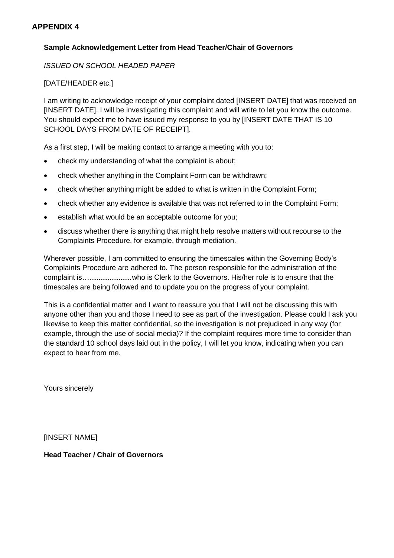#### **APPENDIX 4**

#### **Sample Acknowledgement Letter from Head Teacher/Chair of Governors**

*ISSUED ON SCHOOL HEADED PAPER*

[DATE/HEADER etc.]

I am writing to acknowledge receipt of your complaint dated [INSERT DATE] that was received on [INSERT DATE]. I will be investigating this complaint and will write to let you know the outcome. You should expect me to have issued my response to you by [INSERT DATE THAT IS 10 SCHOOL DAYS FROM DATE OF RECEIPT].

As a first step, I will be making contact to arrange a meeting with you to:

- check my understanding of what the complaint is about;
- check whether anything in the Complaint Form can be withdrawn;
- check whether anything might be added to what is written in the Complaint Form;
- check whether any evidence is available that was not referred to in the Complaint Form;
- establish what would be an acceptable outcome for you;
- discuss whether there is anything that might help resolve matters without recourse to the Complaints Procedure, for example, through mediation.

Wherever possible, I am committed to ensuring the timescales within the Governing Body's Complaints Procedure are adhered to. The person responsible for the administration of the complaint is….......................who is Clerk to the Governors. His/her role is to ensure that the timescales are being followed and to update you on the progress of your complaint.

This is a confidential matter and I want to reassure you that I will not be discussing this with anyone other than you and those I need to see as part of the investigation. Please could I ask you likewise to keep this matter confidential, so the investigation is not prejudiced in any way (for example, through the use of social media)? If the complaint requires more time to consider than the standard 10 school days laid out in the policy, I will let you know, indicating when you can expect to hear from me.

Yours sincerely

[INSERT NAME]

**Head Teacher / Chair of Governors**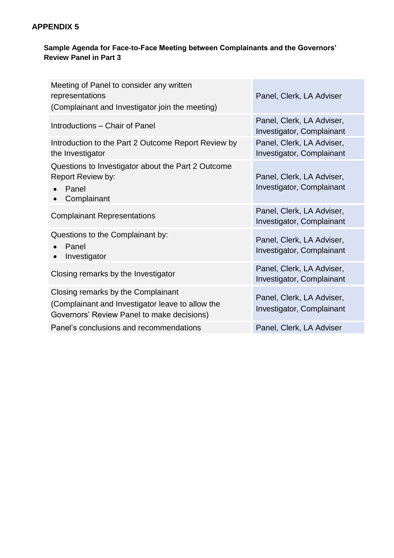#### **APPENDIX 5**

#### **Sample Agenda for Face-to-Face Meeting between Complainants and the Governors' Review Panel in Part 3**

| Meeting of Panel to consider any written<br>representations<br>(Complainant and Investigator join the meeting)                       | Panel, Clerk, LA Adviser                                      |
|--------------------------------------------------------------------------------------------------------------------------------------|---------------------------------------------------------------|
| Introductions - Chair of Panel                                                                                                       | Panel, Clerk, LA Adviser,<br><b>Investigator, Complainant</b> |
| Introduction to the Part 2 Outcome Report Review by<br>the Investigator                                                              | Panel, Clerk, LA Adviser,<br>Investigator, Complainant        |
| Questions to Investigator about the Part 2 Outcome<br><b>Report Review by:</b><br>Panel<br>Complainant                               | Panel, Clerk, LA Adviser,<br>Investigator, Complainant        |
| <b>Complainant Representations</b>                                                                                                   | Panel, Clerk, LA Adviser,<br><b>Investigator, Complainant</b> |
| Questions to the Complainant by:<br>Panel<br>Investigator                                                                            | Panel, Clerk, LA Adviser,<br><b>Investigator, Complainant</b> |
| Closing remarks by the Investigator                                                                                                  | Panel, Clerk, LA Adviser,<br><b>Investigator, Complainant</b> |
| Closing remarks by the Complainant<br>(Complainant and Investigator leave to allow the<br>Governors' Review Panel to make decisions) | Panel, Clerk, LA Adviser,<br><b>Investigator, Complainant</b> |
| Panel's conclusions and recommendations                                                                                              | Panel, Clerk, LA Adviser                                      |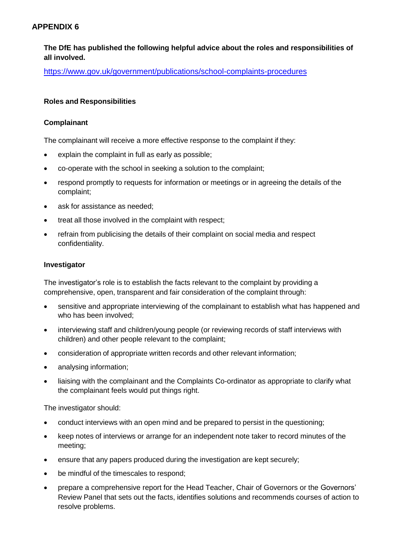#### **APPENDIX 6**

**The DfE has published the following helpful advice about the roles and responsibilities of all involved.**

https:/[/www.gov.uk/government/publications/school-complaints-procedures](http://www.gov.uk/government/publications/school-complaints-procedures)

#### **Roles and Responsibilities**

#### **Complainant**

The complainant will receive a more effective response to the complaint if they:

- explain the complaint in full as early as possible;
- co-operate with the school in seeking a solution to the complaint;
- respond promptly to requests for information or meetings or in agreeing the details of the complaint;
- ask for assistance as needed;
- treat all those involved in the complaint with respect;
- refrain from publicising the details of their complaint on social media and respect confidentiality.

#### **Investigator**

The investigator's role is to establish the facts relevant to the complaint by providing a comprehensive, open, transparent and fair consideration of the complaint through:

- sensitive and appropriate interviewing of the complainant to establish what has happened and who has been involved;
- interviewing staff and children/young people (or reviewing records of staff interviews with children) and other people relevant to the complaint;
- consideration of appropriate written records and other relevant information;
- analysing information;
- liaising with the complainant and the Complaints Co-ordinator as appropriate to clarify what the complainant feels would put things right.

The investigator should:

- conduct interviews with an open mind and be prepared to persist in the questioning;
- keep notes of interviews or arrange for an independent note taker to record minutes of the meeting;
- ensure that any papers produced during the investigation are kept securely;
- be mindful of the timescales to respond;
- prepare a comprehensive report for the Head Teacher, Chair of Governors or the Governors' Review Panel that sets out the facts, identifies solutions and recommends courses of action to resolve problems.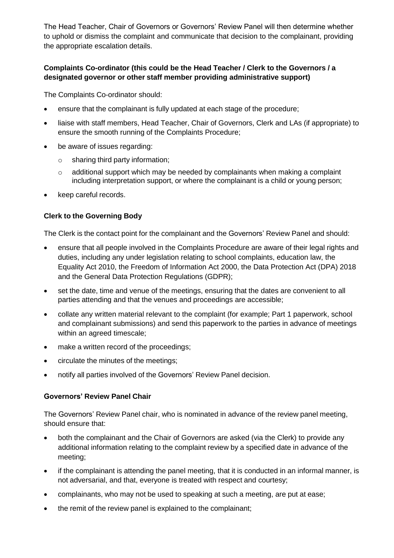The Head Teacher, Chair of Governors or Governors' Review Panel will then determine whether to uphold or dismiss the complaint and communicate that decision to the complainant, providing the appropriate escalation details.

#### **Complaints Co-ordinator (this could be the Head Teacher / Clerk to the Governors / a designated governor or other staff member providing administrative support)**

The Complaints Co-ordinator should:

- ensure that the complainant is fully updated at each stage of the procedure;
- liaise with staff members, Head Teacher, Chair of Governors, Clerk and LAs (if appropriate) to ensure the smooth running of the Complaints Procedure;
- be aware of issues regarding:
	- $\circ$  sharing third party information;
	- $\circ$  additional support which may be needed by complainants when making a complaint including interpretation support, or where the complainant is a child or young person;
- keep careful records.

#### **Clerk to the Governing Body**

The Clerk is the contact point for the complainant and the Governors' Review Panel and should:

- ensure that all people involved in the Complaints Procedure are aware of their legal rights and duties, including any under legislation relating to school complaints, education law, the Equality Act 2010, the Freedom of Information Act 2000, the Data Protection Act (DPA) 2018 and the General Data Protection Regulations (GDPR);
- set the date, time and venue of the meetings, ensuring that the dates are convenient to all parties attending and that the venues and proceedings are accessible;
- collate any written material relevant to the complaint (for example; Part 1 paperwork, school and complainant submissions) and send this paperwork to the parties in advance of meetings within an agreed timescale;
- make a written record of the proceedings;
- circulate the minutes of the meetings;
- notify all parties involved of the Governors' Review Panel decision.

#### **Governors' Review Panel Chair**

The Governors' Review Panel chair, who is nominated in advance of the review panel meeting, should ensure that:

- both the complainant and the Chair of Governors are asked (via the Clerk) to provide any additional information relating to the complaint review by a specified date in advance of the meeting;
- if the complainant is attending the panel meeting, that it is conducted in an informal manner, is not adversarial, and that, everyone is treated with respect and courtesy;
- complainants, who may not be used to speaking at such a meeting, are put at ease;
- the remit of the review panel is explained to the complainant;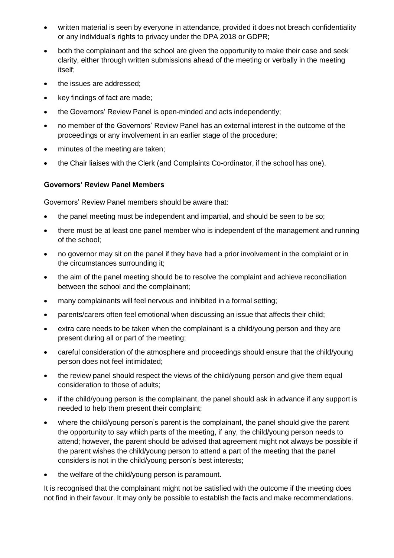- written material is seen by everyone in attendance, provided it does not breach confidentiality or any individual's rights to privacy under the DPA 2018 or GDPR;
- both the complainant and the school are given the opportunity to make their case and seek clarity, either through written submissions ahead of the meeting or verbally in the meeting itself;
- the issues are addressed;
- key findings of fact are made;
- the Governors' Review Panel is open-minded and acts independently;
- no member of the Governors' Review Panel has an external interest in the outcome of the proceedings or any involvement in an earlier stage of the procedure;
- minutes of the meeting are taken;
- the Chair liaises with the Clerk (and Complaints Co-ordinator, if the school has one).

#### **Governors' Review Panel Members**

Governors' Review Panel members should be aware that:

- the panel meeting must be independent and impartial, and should be seen to be so;
- there must be at least one panel member who is independent of the management and running of the school;
- no governor may sit on the panel if they have had a prior involvement in the complaint or in the circumstances surrounding it;
- the aim of the panel meeting should be to resolve the complaint and achieve reconciliation between the school and the complainant;
- many complainants will feel nervous and inhibited in a formal setting;
- parents/carers often feel emotional when discussing an issue that affects their child;
- extra care needs to be taken when the complainant is a child/young person and they are present during all or part of the meeting;
- careful consideration of the atmosphere and proceedings should ensure that the child/young person does not feel intimidated;
- the review panel should respect the views of the child/young person and give them equal consideration to those of adults;
- if the child/young person is the complainant, the panel should ask in advance if any support is needed to help them present their complaint;
- where the child/young person's parent is the complainant, the panel should give the parent the opportunity to say which parts of the meeting, if any, the child/young person needs to attend; however, the parent should be advised that agreement might not always be possible if the parent wishes the child/young person to attend a part of the meeting that the panel considers is not in the child/young person's best interests;
- the welfare of the child/young person is paramount.

It is recognised that the complainant might not be satisfied with the outcome if the meeting does not find in their favour. It may only be possible to establish the facts and make recommendations.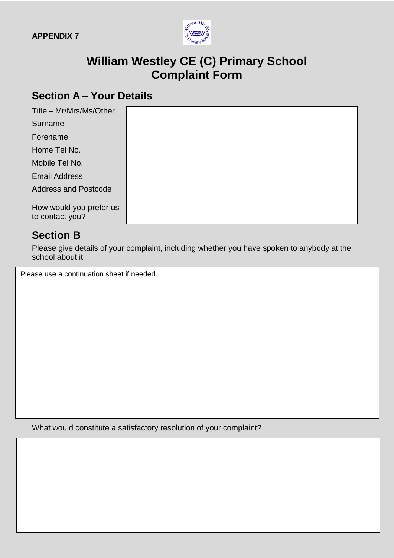

## **William Westley CE (C) Primary School Complaint Form**

## **Section A – Your Details**

| Title - Mr/Mrs/Ms/Other                    |  |
|--------------------------------------------|--|
| Surname                                    |  |
| Forename                                   |  |
| Home Tel No.                               |  |
| Mobile Tel No.                             |  |
| <b>Email Address</b>                       |  |
| <b>Address and Postcode</b>                |  |
| How would you prefer us<br>to contact you? |  |

## **Section B**

Please give details of your complaint, including whether you have spoken to anybody at the school about it

Please use a continuation sheet if needed.

What would constitute a satisfactory resolution of your complaint?